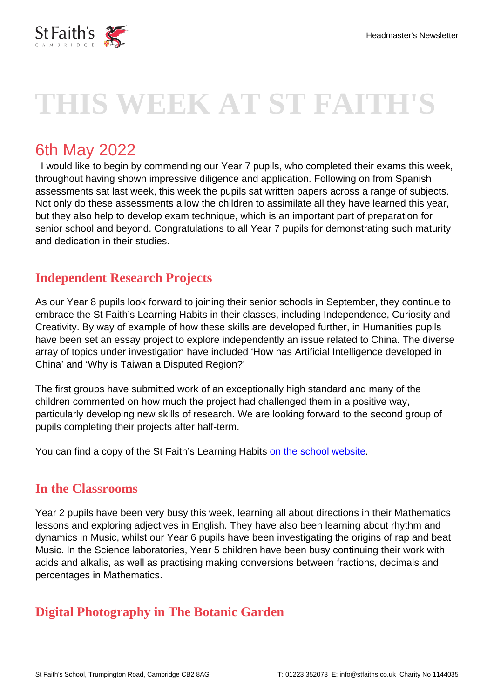

# **THIS WEEK AT ST FAITH'S**

## 6th May 2022

 I would like to begin by commending our Year 7 pupils, who completed their exams this week, throughout having shown impressive diligence and application. Following on from Spanish assessments sat last week, this week the pupils sat written papers across a range of subjects. Not only do these assessments allow the children to assimilate all they have learned this year, but they also help to develop exam technique, which is an important part of preparation for senior school and beyond. Congratulations to all Year 7 pupils for demonstrating such maturity and dedication in their studies.

### **Independent Research Projects**

As our Year 8 pupils look forward to joining their senior schools in September, they continue to embrace the St Faith's Learning Habits in their classes, including Independence, Curiosity and Creativity. By way of example of how these skills are developed further, in Humanities pupils have been set an essay project to explore independently an issue related to China. The diverse array of topics under investigation have included 'How has Artificial Intelligence developed in China' and 'Why is Taiwan a Disputed Region?'

The first groups have submitted work of an exceptionally high standard and many of the children commented on how much the project had challenged them in a positive way, particularly developing new skills of research. We are looking forward to the second group of pupils completing their projects after half-term.

You can find a copy of the St Faith's Learning Habits [on the school website.](https://www.stfaiths.co.uk/why-st-faiths/pupils-learning-habits/)

#### **In the Classrooms**

Year 2 pupils have been very busy this week, learning all about directions in their Mathematics lessons and exploring adjectives in English. They have also been learning about rhythm and dynamics in Music, whilst our Year 6 pupils have been investigating the origins of rap and beat Music. In the Science laboratories, Year 5 children have been busy continuing their work with acids and alkalis, as well as practising making conversions between fractions, decimals and percentages in Mathematics.

#### **Digital Photography in The Botanic Garden**